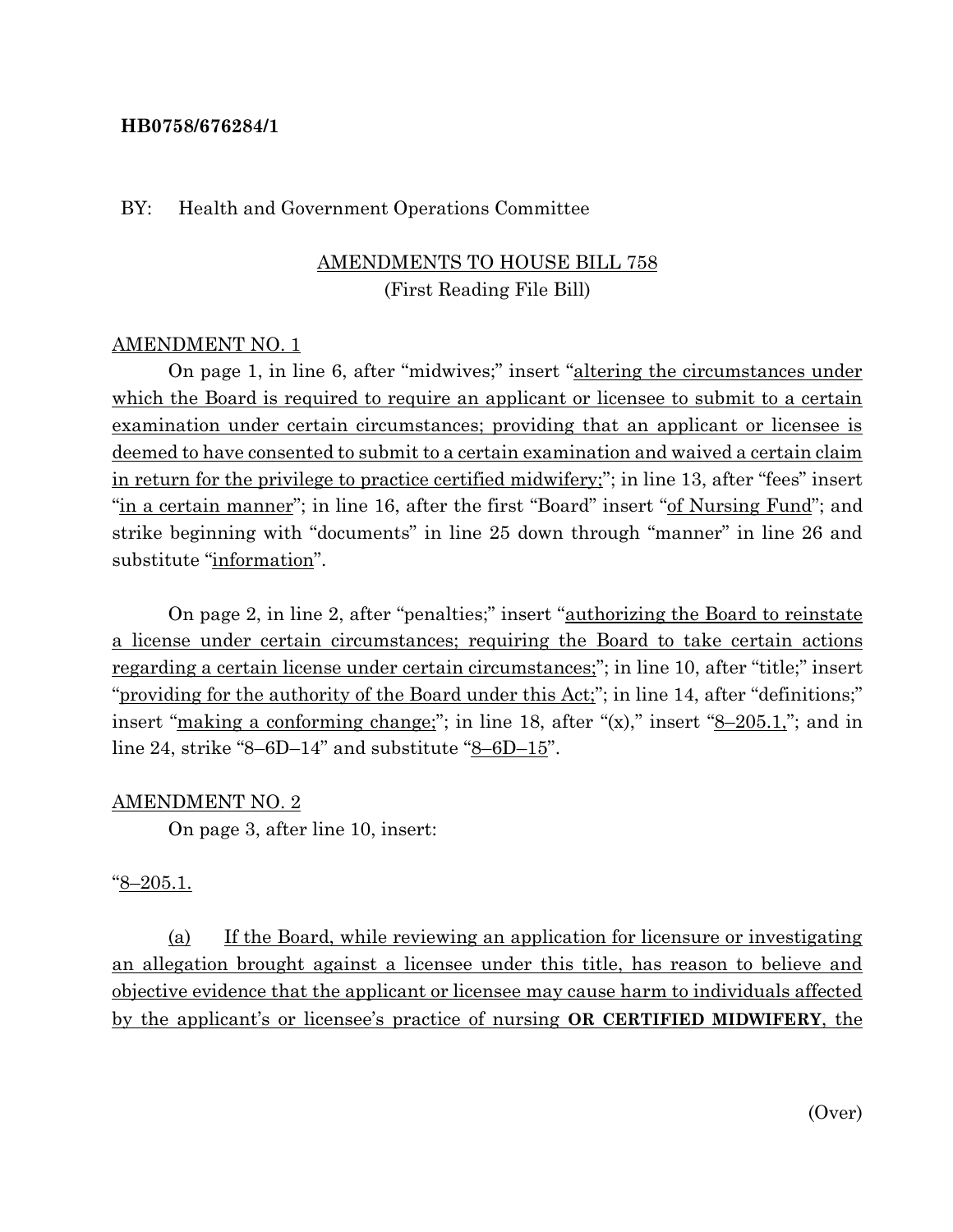#### **HB0758/676284/1**

#### BY: Health and Government Operations Committee

# AMENDMENTS TO HOUSE BILL 758 (First Reading File Bill)

#### AMENDMENT NO. 1

On page 1, in line 6, after "midwives;" insert "altering the circumstances under which the Board is required to require an applicant or licensee to submit to a certain examination under certain circumstances; providing that an applicant or licensee is deemed to have consented to submit to a certain examination and waived a certain claim in return for the privilege to practice certified midwifery;"; in line 13, after "fees" insert "in a certain manner"; in line 16, after the first "Board" insert "of Nursing Fund"; and strike beginning with "documents" in line 25 down through "manner" in line 26 and substitute "information".

On page 2, in line 2, after "penalties;" insert "authorizing the Board to reinstate a license under certain circumstances; requiring the Board to take certain actions regarding a certain license under certain circumstances;"; in line 10, after "title;" insert "providing for the authority of the Board under this Act;"; in line 14, after "definitions;" insert "making a conforming change;"; in line 18, after " $(x)$ ," insert " $8-205.1$ "; and in line 24, strike "8–6D–14" and substitute "8–6D–15".

#### AMENDMENT NO. 2

On page 3, after line 10, insert:

#### "8–205.1.

(a) If the Board, while reviewing an application for licensure or investigating an allegation brought against a licensee under this title, has reason to believe and objective evidence that the applicant or licensee may cause harm to individuals affected by the applicant's or licensee's practice of nursing **OR CERTIFIED MIDWIFERY**, the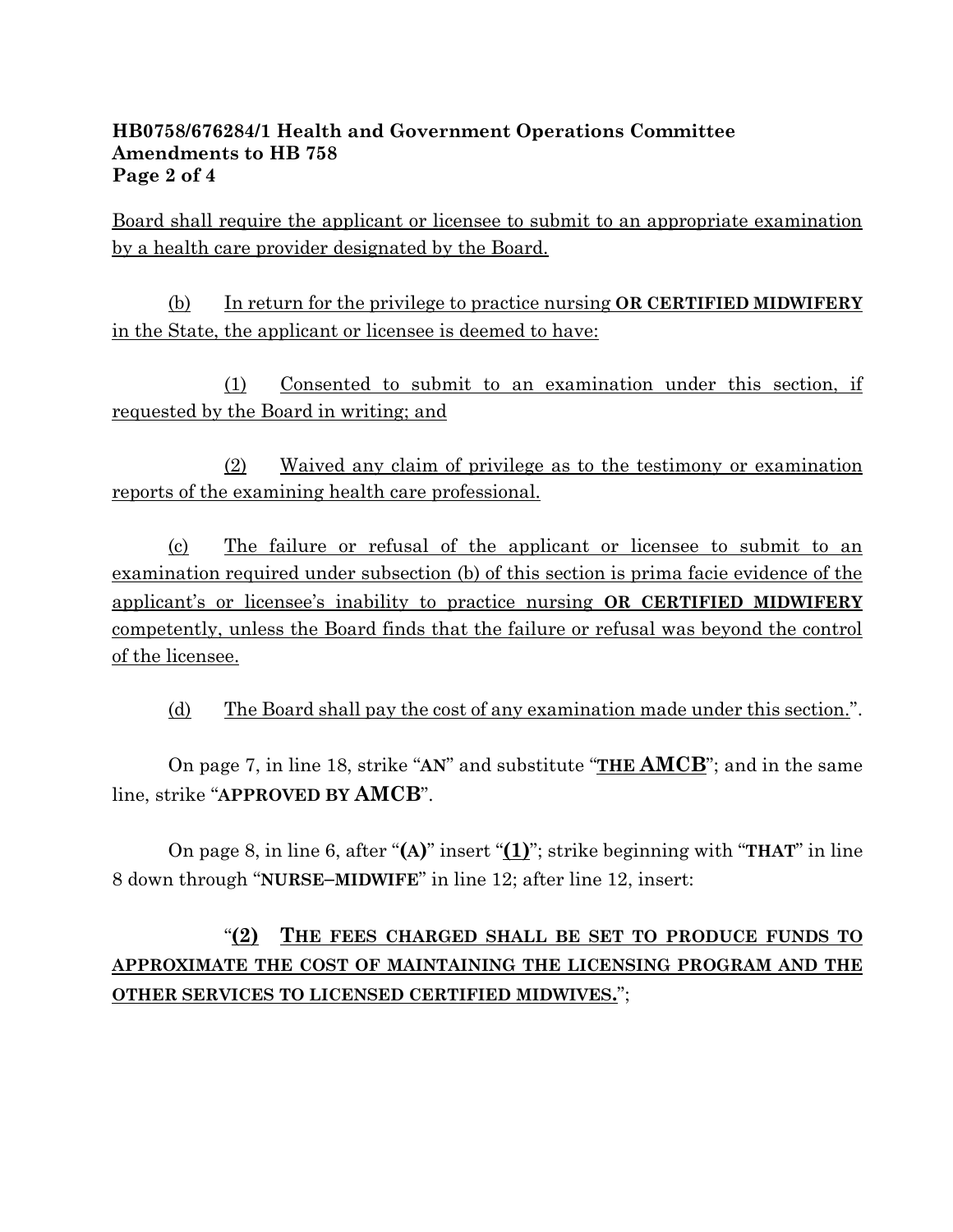## **HB0758/676284/1 Health and Government Operations Committee Amendments to HB 758 Page 2 of 4**

Board shall require the applicant or licensee to submit to an appropriate examination by a health care provider designated by the Board.

(b) In return for the privilege to practice nursing **OR CERTIFIED MIDWIFERY**  in the State, the applicant or licensee is deemed to have:

(1) Consented to submit to an examination under this section, if requested by the Board in writing; and

(2) Waived any claim of privilege as to the testimony or examination reports of the examining health care professional.

(c) The failure or refusal of the applicant or licensee to submit to an examination required under subsection (b) of this section is prima facie evidence of the applicant's or licensee's inability to practice nursing **OR CERTIFIED MIDWIFERY** competently, unless the Board finds that the failure or refusal was beyond the control of the licensee.

(d) The Board shall pay the cost of any examination made under this section.".

On page 7, in line 18, strike "**AN**" and substitute "**THE AMCB**"; and in the same line, strike "**APPROVED BY AMCB**".

On page 8, in line 6, after "**(A)**" insert "**(1)**"; strike beginning with "**THAT**" in line 8 down through "**NURSE–MIDWIFE**" in line 12; after line 12, insert:

# "**(2) THE FEES CHARGED SHALL BE SET TO PRODUCE FUNDS TO APPROXIMATE THE COST OF MAINTAINING THE LICENSING PROGRAM AND THE OTHER SERVICES TO LICENSED CERTIFIED MIDWIVES.**";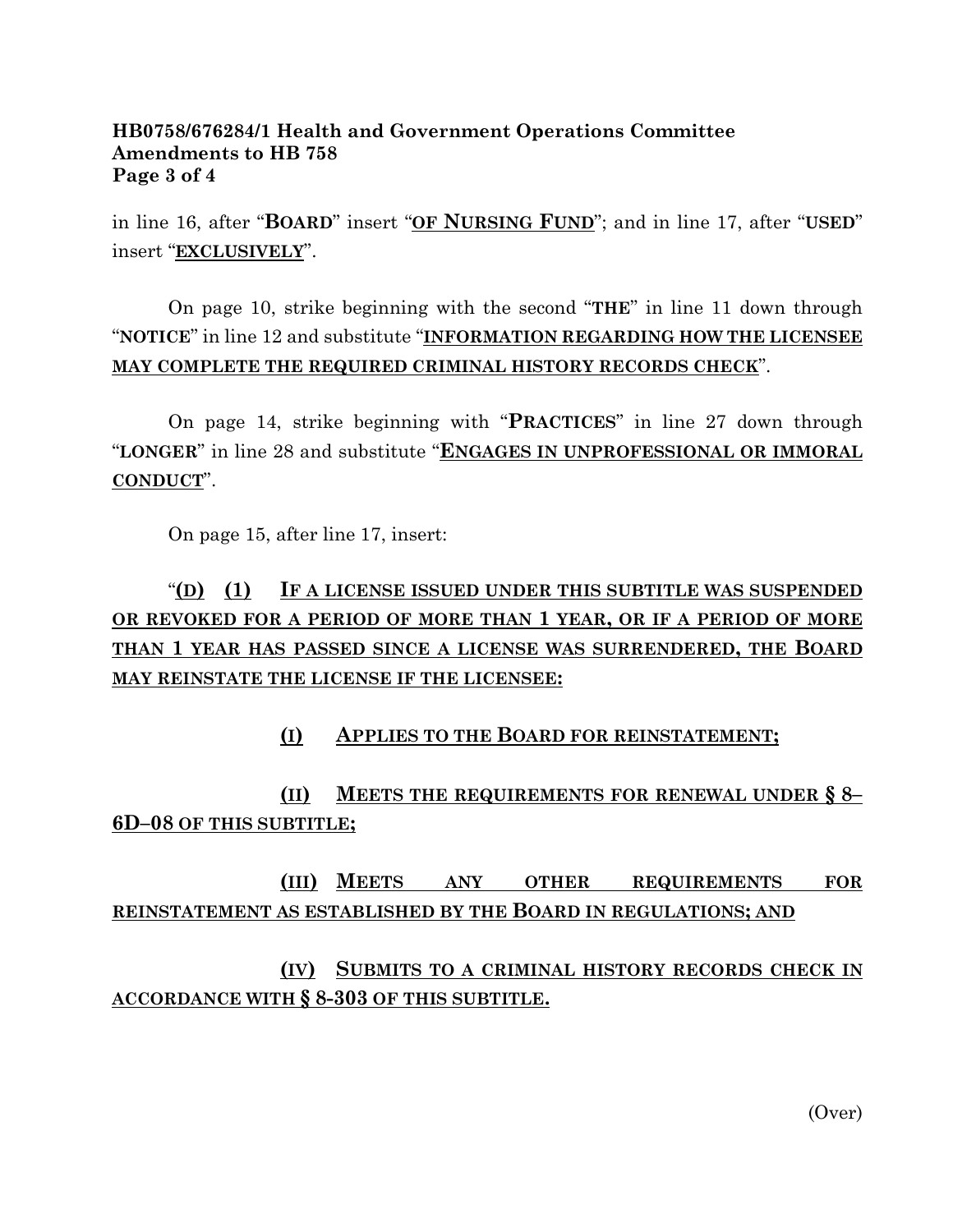### **HB0758/676284/1 Health and Government Operations Committee Amendments to HB 758 Page 3 of 4**

in line 16, after "**BOARD**" insert "**OF NURSING FUND**"; and in line 17, after "**USED**" insert "**EXCLUSIVELY**".

On page 10, strike beginning with the second "**THE**" in line 11 down through "**NOTICE**" in line 12 and substitute "**INFORMATION REGARDING HOW THE LICENSEE MAY COMPLETE THE REQUIRED CRIMINAL HISTORY RECORDS CHECK**".

On page 14, strike beginning with "**PRACTICES**" in line 27 down through "**LONGER**" in line 28 and substitute "**ENGAGES IN UNPROFESSIONAL OR IMMORAL CONDUCT**".

On page 15, after line 17, insert:

# "**(D) (1) IF A LICENSE ISSUED UNDER THIS SUBTITLE WAS SUSPENDED OR REVOKED FOR A PERIOD OF MORE THAN 1 YEAR, OR IF A PERIOD OF MORE THAN 1 YEAR HAS PASSED SINCE A LICENSE WAS SURRENDERED, THE BOARD MAY REINSTATE THE LICENSE IF THE LICENSEE:**

# **(I) APPLIES TO THE BOARD FOR REINSTATEMENT;**

**(II) MEETS THE REQUIREMENTS FOR RENEWAL UNDER § 8– 6D–08 OF THIS SUBTITLE;**

# **(III) MEETS ANY OTHER REQUIREMENTS FOR REINSTATEMENT AS ESTABLISHED BY THE BOARD IN REGULATIONS; AND**

**(IV) SUBMITS TO A CRIMINAL HISTORY RECORDS CHECK IN ACCORDANCE WITH § 8-303 OF THIS SUBTITLE.**

(Over)